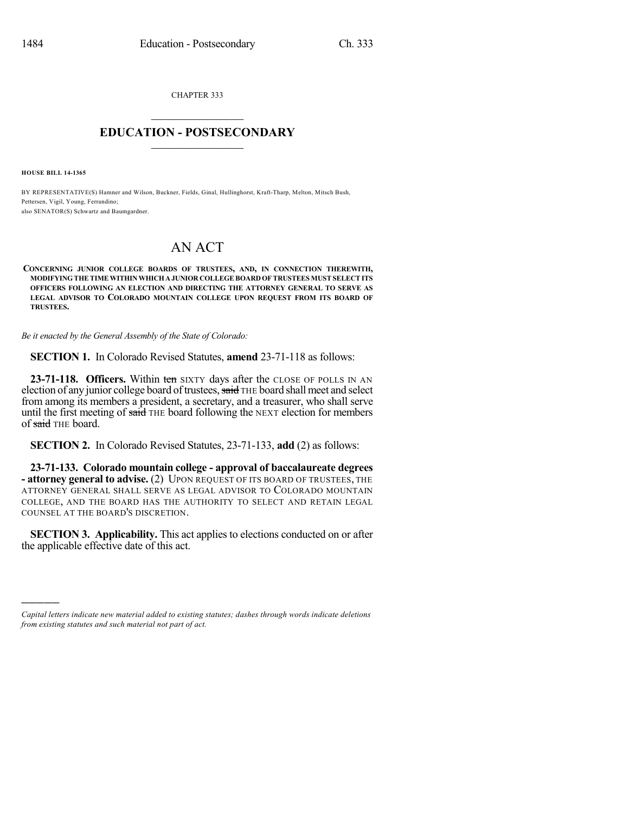CHAPTER 333  $\mathcal{L}_\text{max}$  . The set of the set of the set of the set of the set of the set of the set of the set of the set of the set of the set of the set of the set of the set of the set of the set of the set of the set of the set

## **EDUCATION - POSTSECONDARY**  $\_$   $\_$   $\_$   $\_$   $\_$   $\_$   $\_$   $\_$   $\_$

**HOUSE BILL 14-1365**

)))))

BY REPRESENTATIVE(S) Hamner and Wilson, Buckner, Fields, Ginal, Hullinghorst, Kraft-Tharp, Melton, Mitsch Bush, Pettersen, Vigil, Young, Ferrandino; also SENATOR(S) Schwartz and Baumgardner.

## AN ACT

**CONCERNING JUNIOR COLLEGE BOARDS OF TRUSTEES, AND, IN CONNECTION THEREWITH, MODIFYINGTHETIMEWITHINWHICHA JUNIOR COLLEGEBOARD OFTRUSTEES MUSTSELECTITS OFFICERS FOLLOWING AN ELECTION AND DIRECTING THE ATTORNEY GENERAL TO SERVE AS LEGAL ADVISOR TO COLORADO MOUNTAIN COLLEGE UPON REQUEST FROM ITS BOARD OF TRUSTEES.**

*Be it enacted by the General Assembly of the State of Colorado:*

**SECTION 1.** In Colorado Revised Statutes, **amend** 23-71-118 as follows:

**23-71-118. Officers.** Within ten SIXTY days after the CLOSE OF POLLS IN AN election of any junior college board of trustees, said THE board shall meet and select from among its members a president, a secretary, and a treasurer, who shall serve until the first meeting of said THE board following the NEXT election for members of said THE board.

**SECTION 2.** In Colorado Revised Statutes, 23-71-133, **add** (2) as follows:

**23-71-133. Colorado mountain college - approval of baccalaureate degrees - attorney general to advise.** (2) UPON REQUEST OF ITS BOARD OF TRUSTEES, THE ATTORNEY GENERAL SHALL SERVE AS LEGAL ADVISOR TO COLORADO MOUNTAIN COLLEGE, AND THE BOARD HAS THE AUTHORITY TO SELECT AND RETAIN LEGAL COUNSEL AT THE BOARD'S DISCRETION.

**SECTION 3. Applicability.** This act applies to elections conducted on or after the applicable effective date of this act.

*Capital letters indicate new material added to existing statutes; dashes through words indicate deletions from existing statutes and such material not part of act.*